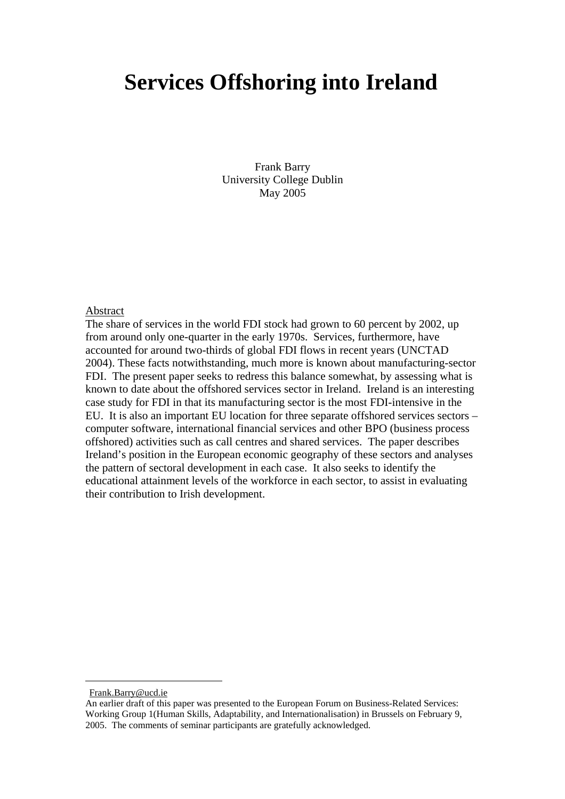# **Services Offshoring into Ireland**

Frank Barry University College Dublin May 2005

#### Abstract

The share of services in the world FDI stock had grown to 60 percent by 2002, up from around only one-quarter in the early 1970s. Services, furthermore, have accounted for around two-thirds of global FDI flows in recent years (UNCTAD 2004). These facts notwithstanding, much more is known about manufacturing-sector FDI. The present paper seeks to redress this balance somewhat, by assessing what is known to date about the offshored services sector in Ireland. Ireland is an interesting case study for FDI in that its manufacturing sector is the most FDI-intensive in the EU. It is also an important EU location for three separate offshored services sectors – computer software, international financial services and other BPO (business process offshored) activities such as call centres and shared services. The paper describes Ireland's position in the European economic geography of these sectors and analyses the pattern of sectoral development in each case. It also seeks to identify the educational attainment levels of the workforce in each sector, to assist in evaluating their contribution to Irish development.

Frank.Barry@ucd.ie

An earlier draft of this paper was presented to the European Forum on Business-Related Services: Working Group 1(Human Skills, Adaptability, and Internationalisation) in Brussels on February 9, 2005. The comments of seminar participants are gratefully acknowledged.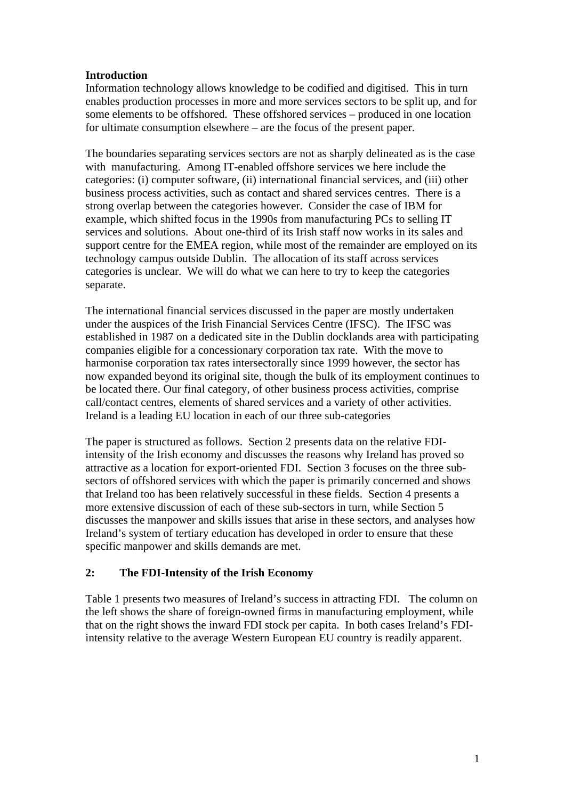## **Introduction**

Information technology allows knowledge to be codified and digitised. This in turn enables production processes in more and more services sectors to be split up, and for some elements to be offshored. These offshored services – produced in one location for ultimate consumption elsewhere – are the focus of the present paper.

The boundaries separating services sectors are not as sharply delineated as is the case with manufacturing. Among IT-enabled offshore services we here include the categories: (i) computer software, (ii) international financial services, and (iii) other business process activities, such as contact and shared services centres. There is a strong overlap between the categories however. Consider the case of IBM for example, which shifted focus in the 1990s from manufacturing PCs to selling IT services and solutions. About one-third of its Irish staff now works in its sales and support centre for the EMEA region, while most of the remainder are employed on its technology campus outside Dublin. The allocation of its staff across services categories is unclear. We will do what we can here to try to keep the categories separate.

The international financial services discussed in the paper are mostly undertaken under the auspices of the Irish Financial Services Centre (IFSC). The IFSC was established in 1987 on a dedicated site in the Dublin docklands area with participating companies eligible for a concessionary corporation tax rate. With the move to harmonise corporation tax rates intersectorally since 1999 however, the sector has now expanded beyond its original site, though the bulk of its employment continues to be located there. Our final category, of other business process activities, comprise call/contact centres, elements of shared services and a variety of other activities. Ireland is a leading EU location in each of our three sub-categories

The paper is structured as follows. Section 2 presents data on the relative FDIintensity of the Irish economy and discusses the reasons why Ireland has proved so attractive as a location for export-oriented FDI. Section 3 focuses on the three subsectors of offshored services with which the paper is primarily concerned and shows that Ireland too has been relatively successful in these fields. Section 4 presents a more extensive discussion of each of these sub-sectors in turn, while Section 5 discusses the manpower and skills issues that arise in these sectors, and analyses how Ireland's system of tertiary education has developed in order to ensure that these specific manpower and skills demands are met.

## **2: The FDI-Intensity of the Irish Economy**

Table 1 presents two measures of Ireland's success in attracting FDI. The column on the left shows the share of foreign-owned firms in manufacturing employment, while that on the right shows the inward FDI stock per capita. In both cases Ireland's FDIintensity relative to the average Western European EU country is readily apparent.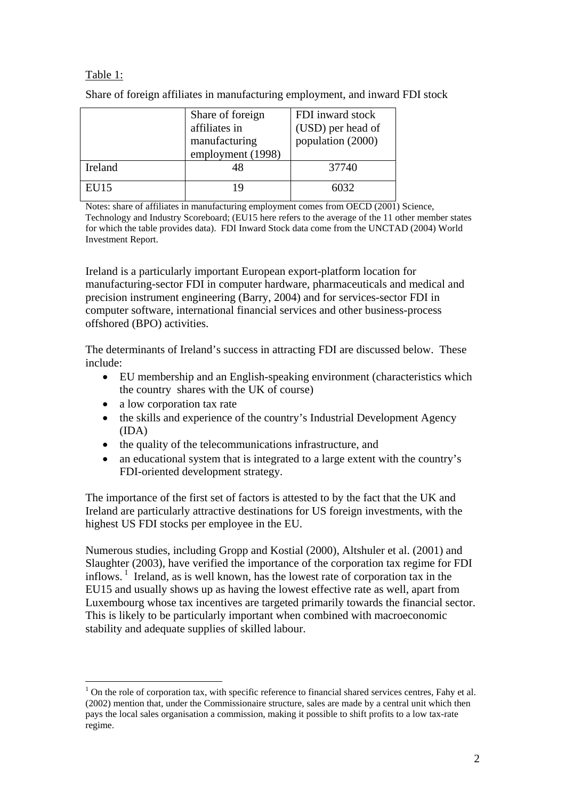# Table 1:

Share of foreign affiliates in manufacturing employment, and inward FDI stock

|         | Share of foreign<br>affiliates in<br>manufacturing<br>employment (1998) | FDI inward stock<br>(USD) per head of<br>population (2000) |
|---------|-------------------------------------------------------------------------|------------------------------------------------------------|
| Ireland | 48                                                                      | 37740                                                      |
| EU15    | 19                                                                      | 6032                                                       |

Notes: share of affiliates in manufacturing employment comes from OECD (2001) Science, Technology and Industry Scoreboard; (EU15 here refers to the average of the 11 other member states for which the table provides data). FDI Inward Stock data come from the UNCTAD (2004) World Investment Report.

Ireland is a particularly important European export-platform location for manufacturing-sector FDI in computer hardware, pharmaceuticals and medical and precision instrument engineering (Barry, 2004) and for services-sector FDI in computer software, international financial services and other business-process offshored (BPO) activities.

The determinants of Ireland's success in attracting FDI are discussed below. These include:

- EU membership and an English-speaking environment (characteristics which the country shares with the UK of course)
- a low corporation tax rate

 $\overline{a}$ 

- the skills and experience of the country's Industrial Development Agency (IDA)
- the quality of the telecommunications infrastructure, and
- an educational system that is integrated to a large extent with the country's FDI-oriented development strategy.

The importance of the first set of factors is attested to by the fact that the UK and Ireland are particularly attractive destinations for US foreign investments, with the highest US FDI stocks per employee in the EU.

Numerous studies, including Gropp and Kostial (2000), Altshuler et al. (2001) and Slaughter (2003), have verified the importance of the corporation tax regime for FDI inflows.  $\frac{1}{1}$  Ireland, as is well known, has the lowest rate of corporation tax in the EU15 and usually shows up as having the lowest effective rate as well, apart from Luxembourg whose tax incentives are targeted primarily towards the financial sector. This is likely to be particularly important when combined with macroeconomic stability and adequate supplies of skilled labour.

 $1$  On the role of corporation tax, with specific reference to financial shared services centres, Fahy et al. (2002) mention that, under the Commissionaire structure, sales are made by a central unit which then pays the local sales organisation a commission, making it possible to shift profits to a low tax-rate regime.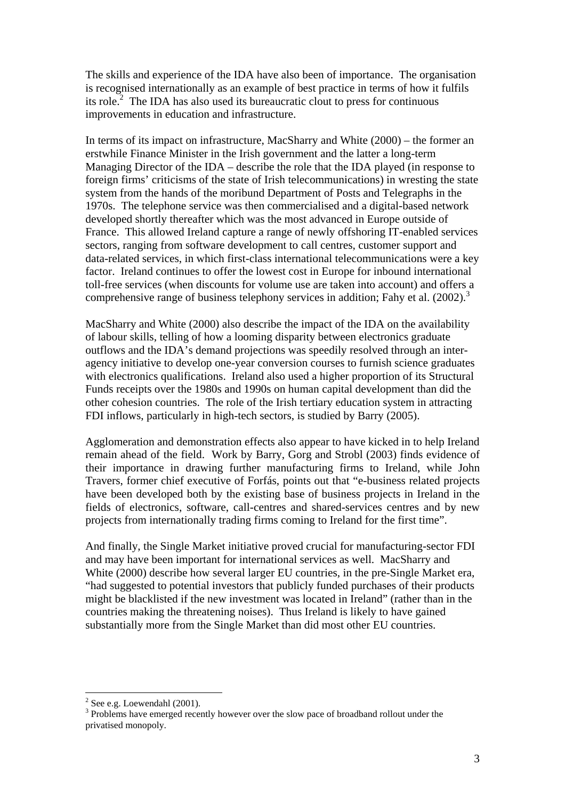The skills and experience of the IDA have also been of importance. The organisation is recognised internationally as an example of best practice in terms of how it fulfils its role. $2$  The IDA has also used its bureaucratic clout to press for continuous improvements in education and infrastructure.

In terms of its impact on infrastructure, MacSharry and White (2000) – the former an erstwhile Finance Minister in the Irish government and the latter a long-term Managing Director of the IDA – describe the role that the IDA played (in response to foreign firms' criticisms of the state of Irish telecommunications) in wresting the state system from the hands of the moribund Department of Posts and Telegraphs in the 1970s. The telephone service was then commercialised and a digital-based network developed shortly thereafter which was the most advanced in Europe outside of France. This allowed Ireland capture a range of newly offshoring IT-enabled services sectors, ranging from software development to call centres, customer support and data-related services, in which first-class international telecommunications were a key factor. Ireland continues to offer the lowest cost in Europe for inbound international toll-free services (when discounts for volume use are taken into account) and offers a comprehensive range of business telephony services in addition; Fahy et al.  $(2002)$ .<sup>3</sup>

MacSharry and White (2000) also describe the impact of the IDA on the availability of labour skills, telling of how a looming disparity between electronics graduate outflows and the IDA's demand projections was speedily resolved through an interagency initiative to develop one-year conversion courses to furnish science graduates with electronics qualifications. Ireland also used a higher proportion of its Structural Funds receipts over the 1980s and 1990s on human capital development than did the other cohesion countries. The role of the Irish tertiary education system in attracting FDI inflows, particularly in high-tech sectors, is studied by Barry (2005).

Agglomeration and demonstration effects also appear to have kicked in to help Ireland remain ahead of the field. Work by Barry, Gorg and Strobl (2003) finds evidence of their importance in drawing further manufacturing firms to Ireland, while John Travers, former chief executive of Forfás, points out that "e-business related projects have been developed both by the existing base of business projects in Ireland in the fields of electronics, software, call-centres and shared-services centres and by new projects from internationally trading firms coming to Ireland for the first time".

And finally, the Single Market initiative proved crucial for manufacturing-sector FDI and may have been important for international services as well. MacSharry and White (2000) describe how several larger EU countries, in the pre-Single Market era, "had suggested to potential investors that publicly funded purchases of their products might be blacklisted if the new investment was located in Ireland" (rather than in the countries making the threatening noises). Thus Ireland is likely to have gained substantially more from the Single Market than did most other EU countries.

 $2^2$  See e.g. Loewendahl (2001).

 $3$  Problems have emerged recently however over the slow pace of broadband rollout under the privatised monopoly.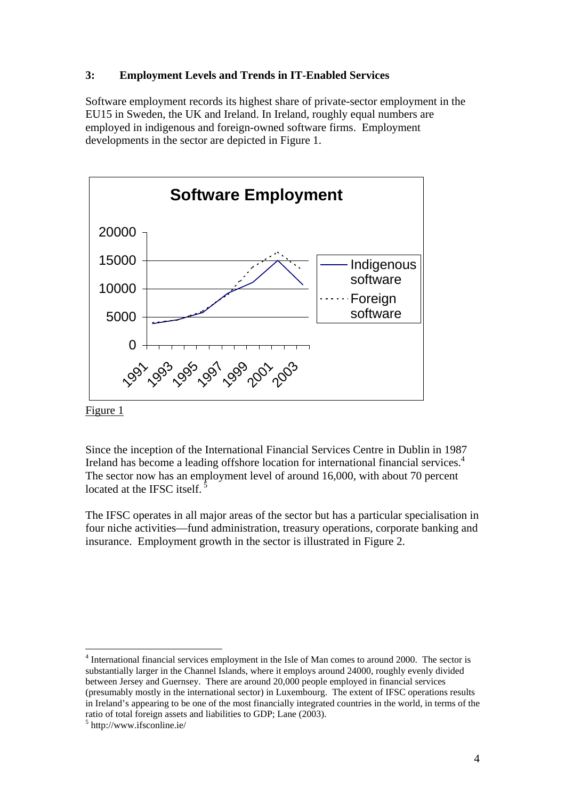## **3: Employment Levels and Trends in IT-Enabled Services**

Software employment records its highest share of private-sector employment in the EU15 in Sweden, the UK and Ireland. In Ireland, roughly equal numbers are employed in indigenous and foreign-owned software firms. Employment developments in the sector are depicted in Figure 1.



Figure 1

 $\overline{a}$ 

Since the inception of the International Financial Services Centre in Dublin in 1987 Ireland has become a leading offshore location for international financial services.<sup>4</sup> The sector now has an employment level of around 16,000, with about 70 percent located at the IFSC itself.

The IFSC operates in all major areas of the sector but has a particular specialisation in four niche activities—fund administration, treasury operations, corporate banking and insurance. Employment growth in the sector is illustrated in Figure 2.

<sup>&</sup>lt;sup>4</sup> International financial services employment in the Isle of Man comes to around 2000. The sector is substantially larger in the Channel Islands, where it employs around 24000, roughly evenly divided between Jersey and Guernsey. There are around 20,000 people employed in financial services (presumably mostly in the international sector) in Luxembourg. The extent of IFSC operations results in Ireland's appearing to be one of the most financially integrated countries in the world, in terms of the ratio of total foreign assets and liabilities to GDP; Lane (2003).

<sup>5</sup> http://www.ifsconline.ie/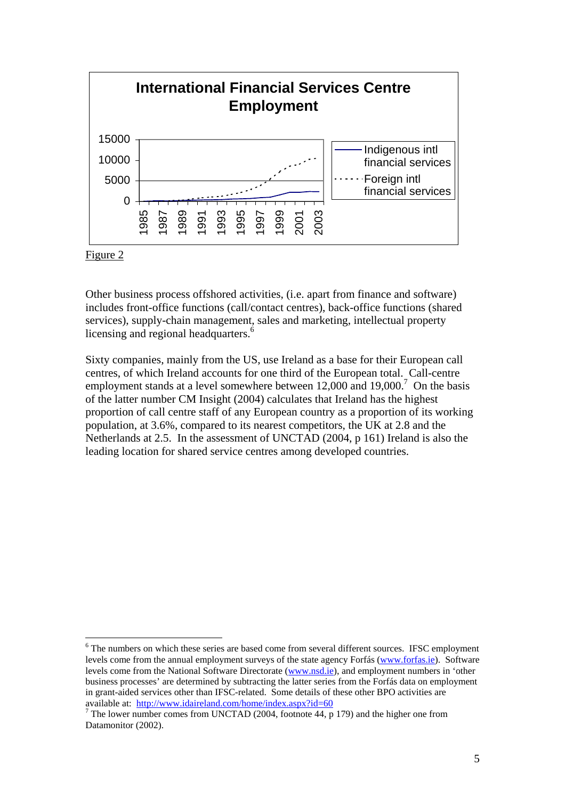

#### Figure 2

 $\overline{a}$ 

Other business process offshored activities, (i.e. apart from finance and software) includes front-office functions (call/contact centres), back-office functions (shared services), supply-chain management, sales and marketing, intellectual property licensing and regional headquarters.<sup>6</sup>

Sixty companies, mainly from the US, use Ireland as a base for their European call centres, of which Ireland accounts for one third of the European total. Call-centre employment stands at a level somewhere between  $12,000$  and  $19,000$ .<sup>7</sup> On the basis of the latter number CM Insight (2004) calculates that Ireland has the highest proportion of call centre staff of any European country as a proportion of its working population, at 3.6%, compared to its nearest competitors, the UK at 2.8 and the Netherlands at 2.5. In the assessment of UNCTAD (2004, p 161) Ireland is also the leading location for shared service centres among developed countries.

 $6$  The numbers on which these series are based come from several different sources. IFSC employment levels come from the annual employment surveys of the state agency Forfás (www.forfas.ie). Software levels come from the National Software Directorate (www.nsd.ie), and employment numbers in 'other business processes' are determined by subtracting the latter series from the Forfás data on employment in grant-aided services other than IFSC-related. Some details of these other BPO activities are available at: http://www.idaireland.com/home/index.aspx?id=60 <sup>7</sup>

The lower number comes from UNCTAD (2004, footnote  $44$ ,  $\overline{p}$  179) and the higher one from Datamonitor (2002).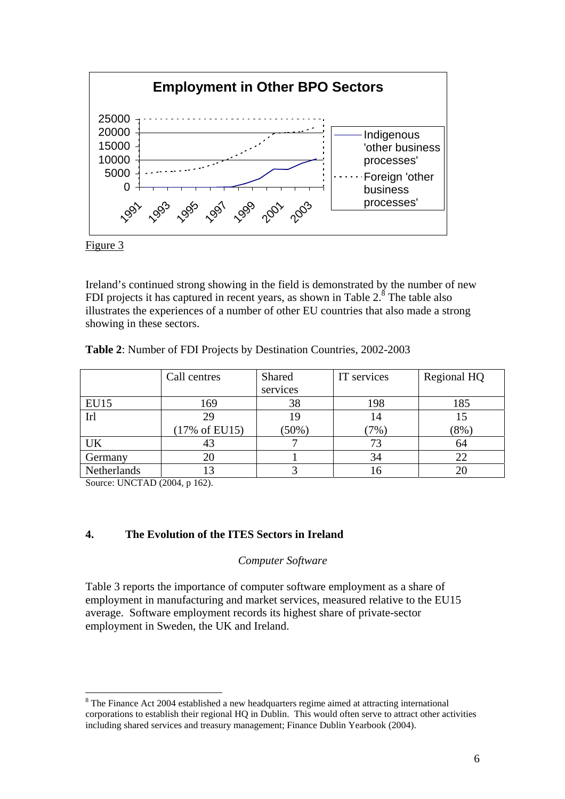

Figure 3

Ireland's continued strong showing in the field is demonstrated by the number of new FDI projects it has captured in recent years, as shown in Table  $2.\overset{8}{\,}$  The table also illustrates the experiences of a number of other EU countries that also made a strong showing in these sectors.

|             | Call centres             | Shared   | IT services | Regional HQ |
|-------------|--------------------------|----------|-------------|-------------|
|             |                          | services |             |             |
| <b>EU15</b> | 169                      | 38       | 198         | 185         |
| Irl         | 29                       | 19       | 14          |             |
|             | $(17\% \text{ of EU}15)$ | $(50\%)$ | $7\%$ )     | $(8\%)$     |
| UK          | 43                       |          | 73          | 64          |
| Germany     | 20                       |          | 34          | 22          |
| Netherlands |                          |          | 10          |             |

**Table 2**: Number of FDI Projects by Destination Countries, 2002-2003

Source: UNCTAD (2004, p 162).

 $\overline{a}$ 

## **4. The Evolution of the ITES Sectors in Ireland**

#### *Computer Software*

Table 3 reports the importance of computer software employment as a share of employment in manufacturing and market services, measured relative to the EU15 average. Software employment records its highest share of private-sector employment in Sweden, the UK and Ireland.

 $8$  The Finance Act 2004 established a new headquarters regime aimed at attracting international corporations to establish their regional HQ in Dublin. This would often serve to attract other activities including shared services and treasury management; Finance Dublin Yearbook (2004).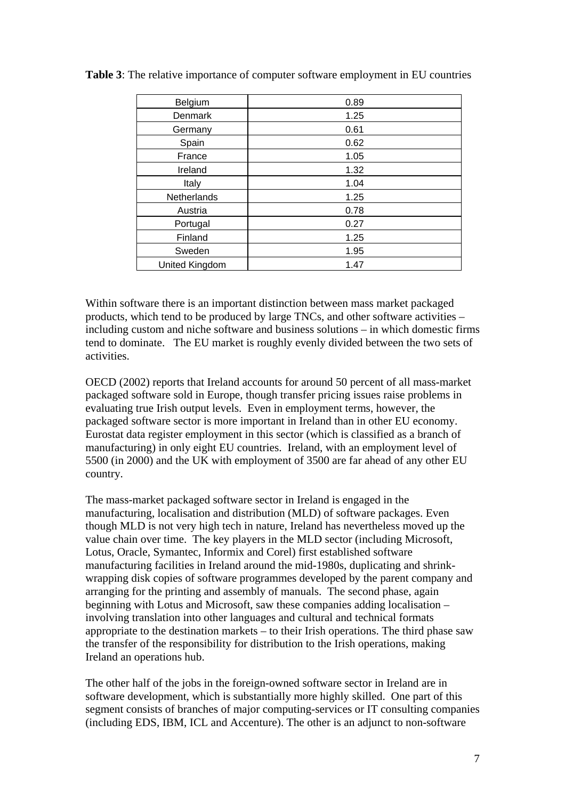| Belgium        | 0.89 |
|----------------|------|
| Denmark        | 1.25 |
| Germany        | 0.61 |
| Spain          | 0.62 |
| France         | 1.05 |
| Ireland        | 1.32 |
| Italy          | 1.04 |
| Netherlands    | 1.25 |
| Austria        | 0.78 |
| Portugal       | 0.27 |
| Finland        | 1.25 |
| Sweden         | 1.95 |
| United Kingdom | 1.47 |

**Table 3**: The relative importance of computer software employment in EU countries

Within software there is an important distinction between mass market packaged products, which tend to be produced by large TNCs, and other software activities – including custom and niche software and business solutions – in which domestic firms tend to dominate. The EU market is roughly evenly divided between the two sets of activities.

OECD (2002) reports that Ireland accounts for around 50 percent of all mass-market packaged software sold in Europe, though transfer pricing issues raise problems in evaluating true Irish output levels. Even in employment terms, however, the packaged software sector is more important in Ireland than in other EU economy. Eurostat data register employment in this sector (which is classified as a branch of manufacturing) in only eight EU countries. Ireland, with an employment level of 5500 (in 2000) and the UK with employment of 3500 are far ahead of any other EU country.

The mass-market packaged software sector in Ireland is engaged in the manufacturing, localisation and distribution (MLD) of software packages. Even though MLD is not very high tech in nature, Ireland has nevertheless moved up the value chain over time. The key players in the MLD sector (including Microsoft, Lotus, Oracle, Symantec, Informix and Corel) first established software manufacturing facilities in Ireland around the mid-1980s, duplicating and shrinkwrapping disk copies of software programmes developed by the parent company and arranging for the printing and assembly of manuals. The second phase, again beginning with Lotus and Microsoft, saw these companies adding localisation – involving translation into other languages and cultural and technical formats appropriate to the destination markets – to their Irish operations. The third phase saw the transfer of the responsibility for distribution to the Irish operations, making Ireland an operations hub.

The other half of the jobs in the foreign-owned software sector in Ireland are in software development, which is substantially more highly skilled. One part of this segment consists of branches of major computing-services or IT consulting companies (including EDS, IBM, ICL and Accenture). The other is an adjunct to non-software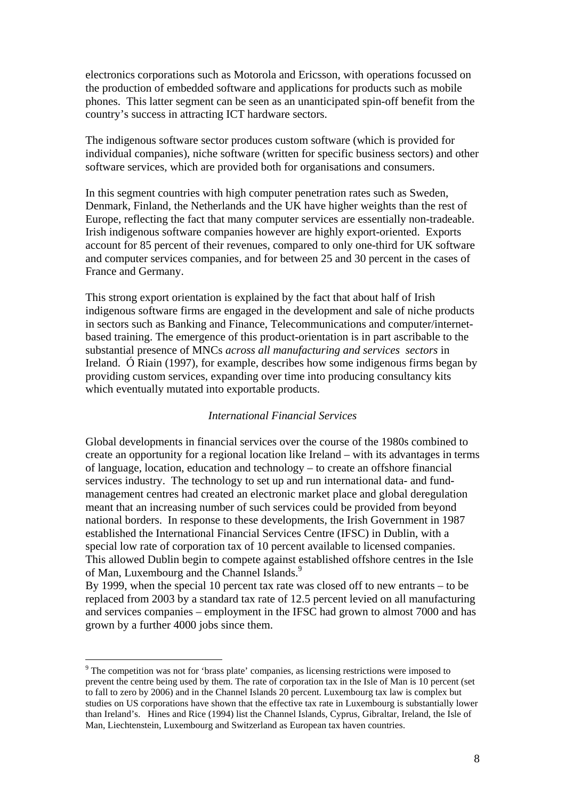electronics corporations such as Motorola and Ericsson, with operations focussed on the production of embedded software and applications for products such as mobile phones. This latter segment can be seen as an unanticipated spin-off benefit from the country's success in attracting ICT hardware sectors.

The indigenous software sector produces custom software (which is provided for individual companies), niche software (written for specific business sectors) and other software services, which are provided both for organisations and consumers.

In this segment countries with high computer penetration rates such as Sweden, Denmark, Finland, the Netherlands and the UK have higher weights than the rest of Europe, reflecting the fact that many computer services are essentially non-tradeable. Irish indigenous software companies however are highly export-oriented. Exports account for 85 percent of their revenues, compared to only one-third for UK software and computer services companies, and for between 25 and 30 percent in the cases of France and Germany.

This strong export orientation is explained by the fact that about half of Irish indigenous software firms are engaged in the development and sale of niche products in sectors such as Banking and Finance, Telecommunications and computer/internetbased training. The emergence of this product-orientation is in part ascribable to the substantial presence of MNCs *across all manufacturing and services sectors* in Ireland. Ó Riain (1997), for example, describes how some indigenous firms began by providing custom services, expanding over time into producing consultancy kits which eventually mutated into exportable products.

#### *International Financial Services*

Global developments in financial services over the course of the 1980s combined to create an opportunity for a regional location like Ireland – with its advantages in terms of language, location, education and technology – to create an offshore financial services industry. The technology to set up and run international data- and fundmanagement centres had created an electronic market place and global deregulation meant that an increasing number of such services could be provided from beyond national borders. In response to these developments, the Irish Government in 1987 established the International Financial Services Centre (IFSC) in Dublin, with a special low rate of corporation tax of 10 percent available to licensed companies. This allowed Dublin begin to compete against established offshore centres in the Isle of Man, Luxembourg and the Channel Islands.<sup>9</sup>

By 1999, when the special 10 percent tax rate was closed off to new entrants – to be replaced from 2003 by a standard tax rate of 12.5 percent levied on all manufacturing and services companies – employment in the IFSC had grown to almost 7000 and has grown by a further 4000 jobs since them.

<sup>&</sup>lt;sup>9</sup> The competition was not for 'brass plate' companies, as licensing restrictions were imposed to prevent the centre being used by them. The rate of corporation tax in the Isle of Man is 10 percent (set to fall to zero by 2006) and in the Channel Islands 20 percent. Luxembourg tax law is complex but studies on US corporations have shown that the effective tax rate in Luxembourg is substantially lower than Ireland's. Hines and Rice (1994) list the Channel Islands, Cyprus, Gibraltar, Ireland, the Isle of Man, Liechtenstein, Luxembourg and Switzerland as European tax haven countries.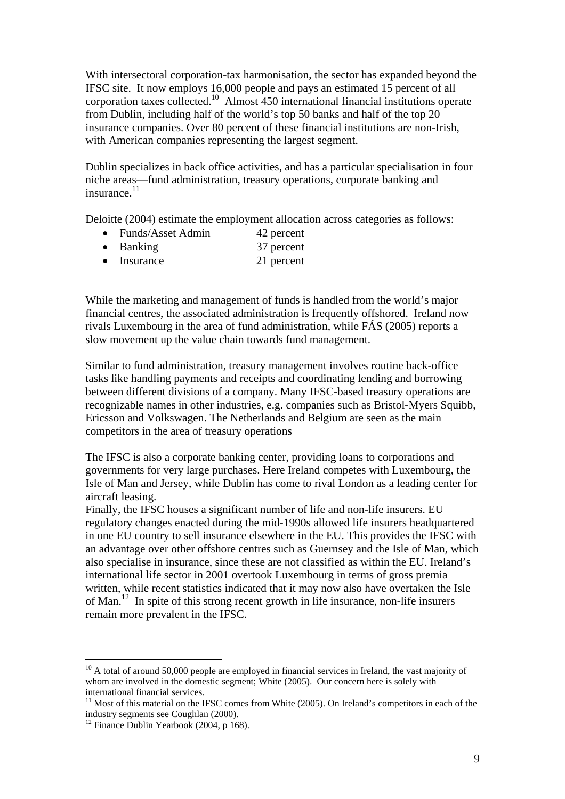With intersectoral corporation-tax harmonisation, the sector has expanded beyond the IFSC site. It now employs 16,000 people and pays an estimated 15 percent of all corporation taxes collected.10 Almost 450 international financial institutions operate from Dublin, including half of the world's top 50 banks and half of the top 20 insurance companies. Over 80 percent of these financial institutions are non-Irish, with American companies representing the largest segment.

Dublin specializes in back office activities, and has a particular specialisation in four niche areas—fund administration, treasury operations, corporate banking and insurance.11

Deloitte (2004) estimate the employment allocation across categories as follows:

- Funds/Asset Admin 42 percent
- Banking 37 percent
- Insurance 21 percent

While the marketing and management of funds is handled from the world's major financial centres, the associated administration is frequently offshored. Ireland now rivals Luxembourg in the area of fund administration, while FÁS (2005) reports a slow movement up the value chain towards fund management.

Similar to fund administration, treasury management involves routine back-office tasks like handling payments and receipts and coordinating lending and borrowing between different divisions of a company. Many IFSC-based treasury operations are recognizable names in other industries, e.g. companies such as Bristol-Myers Squibb, Ericsson and Volkswagen. The Netherlands and Belgium are seen as the main competitors in the area of treasury operations

The IFSC is also a corporate banking center, providing loans to corporations and governments for very large purchases. Here Ireland competes with Luxembourg, the Isle of Man and Jersey, while Dublin has come to rival London as a leading center for aircraft leasing.

Finally, the IFSC houses a significant number of life and non-life insurers. EU regulatory changes enacted during the mid-1990s allowed life insurers headquartered in one EU country to sell insurance elsewhere in the EU. This provides the IFSC with an advantage over other offshore centres such as Guernsey and the Isle of Man, which also specialise in insurance, since these are not classified as within the EU. Ireland's international life sector in 2001 overtook Luxembourg in terms of gross premia written, while recent statistics indicated that it may now also have overtaken the Isle of Man.12 In spite of this strong recent growth in life insurance, non-life insurers remain more prevalent in the IFSC.

 $10$  A total of around 50,000 people are employed in financial services in Ireland, the vast majority of whom are involved in the domestic segment: White (2005). Our concern here is solely with international financial services.<br><sup>11</sup> Most of this material on the IFSC comes from White (2005). On Ireland's competitors in each of the

industry segments see Coughlan (2000). 12 Finance Dublin Yearbook (2004, p 168).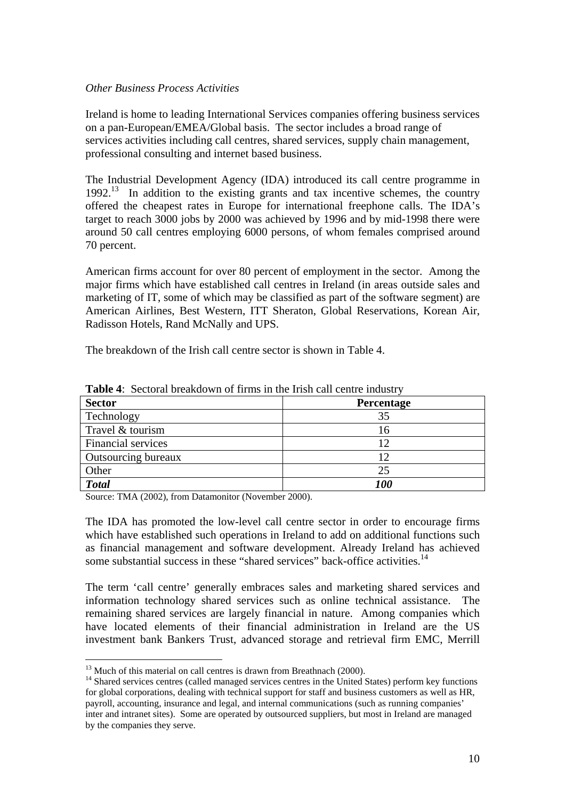## *Other Business Process Activities*

Ireland is home to leading International Services companies offering business services on a pan-European/EMEA/Global basis. The sector includes a broad range of services activities including call centres, shared services, supply chain management, professional consulting and internet based business.

The Industrial Development Agency (IDA) introduced its call centre programme in  $1992<sup>13</sup>$  In addition to the existing grants and tax incentive schemes, the country offered the cheapest rates in Europe for international freephone calls. The IDA's target to reach 3000 jobs by 2000 was achieved by 1996 and by mid-1998 there were around 50 call centres employing 6000 persons, of whom females comprised around 70 percent.

American firms account for over 80 percent of employment in the sector. Among the major firms which have established call centres in Ireland (in areas outside sales and marketing of IT, some of which may be classified as part of the software segment) are American Airlines, Best Western, ITT Sheraton, Global Reservations, Korean Air, Radisson Hotels, Rand McNally and UPS.

The breakdown of the Irish call centre sector is shown in Table 4.

| <b>Sector</b>             | Percentage |  |  |
|---------------------------|------------|--|--|
| Technology                | 35         |  |  |
| Travel & tourism          | 16         |  |  |
| <b>Financial services</b> | 12         |  |  |
| Outsourcing bureaux       | 12         |  |  |
| Other                     | 25         |  |  |
| <b>Total</b>              | <i>100</i> |  |  |

**Table 4**: Sectoral breakdown of firms in the Irish call centre industry

Source: TMA (2002), from Datamonitor (November 2000).

The IDA has promoted the low-level call centre sector in order to encourage firms which have established such operations in Ireland to add on additional functions such as financial management and software development. Already Ireland has achieved some substantial success in these "shared services" back-office activities.<sup>14</sup>

The term 'call centre' generally embraces sales and marketing shared services and information technology shared services such as online technical assistance. The remaining shared services are largely financial in nature. Among companies which have located elements of their financial administration in Ireland are the US investment bank Bankers Trust, advanced storage and retrieval firm EMC, Merrill

<sup>&</sup>lt;sup>13</sup> Much of this material on call centres is drawn from Breathnach (2000).<br><sup>14</sup> Shared services centres (called managed services centres in the United States) perform key functions for global corporations, dealing with technical support for staff and business customers as well as HR, payroll, accounting, insurance and legal, and internal communications (such as running companies' inter and intranet sites). Some are operated by outsourced suppliers, but most in Ireland are managed by the companies they serve.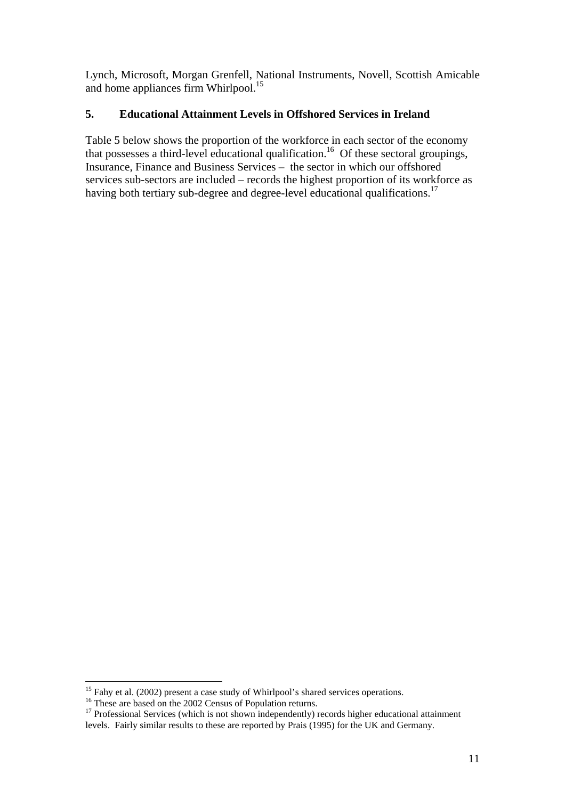Lynch, Microsoft, Morgan Grenfell, National Instruments, Novell, Scottish Amicable and home appliances firm Whirlpool.<sup>15</sup>

## **5. Educational Attainment Levels in Offshored Services in Ireland**

Table 5 below shows the proportion of the workforce in each sector of the economy that possesses a third-level educational qualification.<sup>16</sup> Of these sectoral groupings, Insurance, Finance and Business Services – the sector in which our offshored services sub-sectors are included – records the highest proportion of its workforce as having both tertiary sub-degree and degree-level educational qualifications.<sup>17</sup>

<sup>&</sup>lt;sup>15</sup> Fahy et al. (2002) present a case study of Whirlpool's shared services operations.<br><sup>16</sup> These are based on the 2002 Census of Population returns.<br><sup>17</sup> Professional Services (which is not shown independently) records levels. Fairly similar results to these are reported by Prais (1995) for the UK and Germany.<br>levels. Fairly similar results to these are reported by Prais (1995) for the UK and Germany.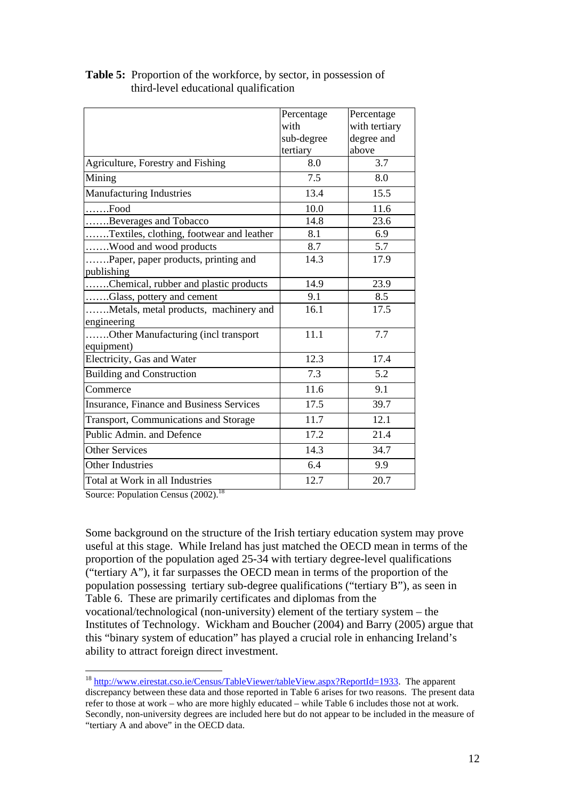|                                                 | Percentage | Percentage    |
|-------------------------------------------------|------------|---------------|
|                                                 | with       | with tertiary |
|                                                 | sub-degree | degree and    |
|                                                 | tertiary   | above         |
| Agriculture, Forestry and Fishing               | 8.0        | 3.7           |
| Mining                                          | 7.5        | 8.0           |
| <b>Manufacturing Industries</b>                 | 13.4       | 15.5          |
| $\ldots$ Food                                   | 10.0       | 11.6          |
| Beverages and Tobacco                           | 14.8       | 23.6          |
| Textiles, clothing, footwear and leather        | 8.1        | 6.9           |
| Wood and wood products                          | 8.7        | 5.7           |
| Paper, paper products, printing and             | 14.3       | 17.9          |
| publishing                                      |            |               |
| Chemical, rubber and plastic products           | 14.9       | 23.9          |
| Glass, pottery and cement                       | 9.1        | 8.5           |
| Metals, metal products, machinery and           | 16.1       | 17.5          |
| engineering                                     |            |               |
| Other Manufacturing (incl transport             | 11.1       | 7.7           |
| equipment)                                      |            |               |
| Electricity, Gas and Water                      | 12.3       | 17.4          |
| <b>Building and Construction</b>                | 7.3        | 5.2           |
| Commerce                                        | 11.6       | 9.1           |
| <b>Insurance, Finance and Business Services</b> | 17.5       | 39.7          |
| Transport, Communications and Storage           | 11.7       | 12.1          |
| Public Admin. and Defence                       | 17.2       | 21.4          |
| <b>Other Services</b>                           | 14.3       | 34.7          |
| <b>Other Industries</b>                         | 6.4        | 9.9           |
| Total at Work in all Industries                 | 12.7       | 20.7          |

## **Table 5:** Proportion of the workforce, by sector, in possession of third-level educational qualification

Source: Population Census (2002).<sup>18</sup>

 $\overline{a}$ 

Some background on the structure of the Irish tertiary education system may prove useful at this stage. While Ireland has just matched the OECD mean in terms of the proportion of the population aged 25-34 with tertiary degree-level qualifications ("tertiary A"), it far surpasses the OECD mean in terms of the proportion of the population possessing tertiary sub-degree qualifications ("tertiary B"), as seen in Table 6. These are primarily certificates and diplomas from the vocational/technological (non-university) element of the tertiary system – the Institutes of Technology. Wickham and Boucher (2004) and Barry (2005) argue that this "binary system of education" has played a crucial role in enhancing Ireland's ability to attract foreign direct investment.

<sup>&</sup>lt;sup>18</sup> http://www.eirestat.cso.ie/Census/TableViewer/tableView.aspx?ReportId=1933. The apparent discrepancy between these data and those reported in Table 6 arises for two reasons. The present data refer to those at work – who are more highly educated – while Table 6 includes those not at work. Secondly, non-university degrees are included here but do not appear to be included in the measure of "tertiary A and above" in the OECD data.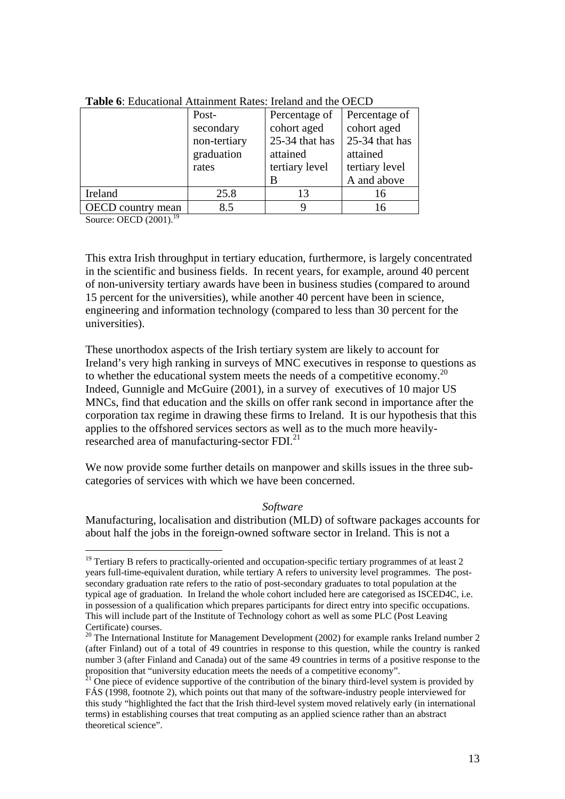|                          | Post-        | Percentage of  | Percentage of  |  |
|--------------------------|--------------|----------------|----------------|--|
|                          | secondary    | cohort aged    | cohort aged    |  |
|                          | non-tertiary | 25-34 that has | 25-34 that has |  |
|                          | graduation   | attained       | attained       |  |
|                          | rates        | tertiary level | tertiary level |  |
|                          |              | В              | A and above    |  |
| Ireland                  | 25.8         | 13             | 16             |  |
| <b>OECD</b> country mean | 8.5          |                | 16             |  |

**Table 6**: Educational Attainment Rates: Ireland and the OECD

Source: OECD (2001).<sup>19</sup>

 $\overline{a}$ 

This extra Irish throughput in tertiary education, furthermore, is largely concentrated in the scientific and business fields. In recent years, for example, around 40 percent of non-university tertiary awards have been in business studies (compared to around 15 percent for the universities), while another 40 percent have been in science, engineering and information technology (compared to less than 30 percent for the universities).

These unorthodox aspects of the Irish tertiary system are likely to account for Ireland's very high ranking in surveys of MNC executives in response to questions as to whether the educational system meets the needs of a competitive economy. 20 Indeed, Gunnigle and McGuire (2001), in a survey of executives of 10 major US MNCs, find that education and the skills on offer rank second in importance after the corporation tax regime in drawing these firms to Ireland. It is our hypothesis that this applies to the offshored services sectors as well as to the much more heavilyresearched area of manufacturing-sector FDI.21

We now provide some further details on manpower and skills issues in the three subcategories of services with which we have been concerned.

#### *Software*

Manufacturing, localisation and distribution (MLD) of software packages accounts for about half the jobs in the foreign-owned software sector in Ireland. This is not a

 $19$  Tertiary B refers to practically-oriented and occupation-specific tertiary programmes of at least 2 years full-time-equivalent duration, while tertiary A refers to university level programmes. The postsecondary graduation rate refers to the ratio of post-secondary graduates to total population at the typical age of graduation. In Ireland the whole cohort included here are categorised as ISCED4C, i.e. in possession of a qualification which prepares participants for direct entry into specific occupations. This will include part of the Institute of Technology cohort as well as some PLC (Post Leaving Certificate) courses.

 $20$  The International Institute for Management Development (2002) for example ranks Ireland number 2 (after Finland) out of a total of 49 countries in response to this question, while the country is ranked number 3 (after Finland and Canada) out of the same 49 countries in terms of a positive response to the proposition that "university education meets the needs of a competitive economy".<br><sup>21</sup> One piece of evidence supportive of the contribution of the binary third-level system is provided by

FÁS (1998, footnote 2), which points out that many of the software-industry people interviewed for this study "highlighted the fact that the Irish third-level system moved relatively early (in international terms) in establishing courses that treat computing as an applied science rather than an abstract theoretical science".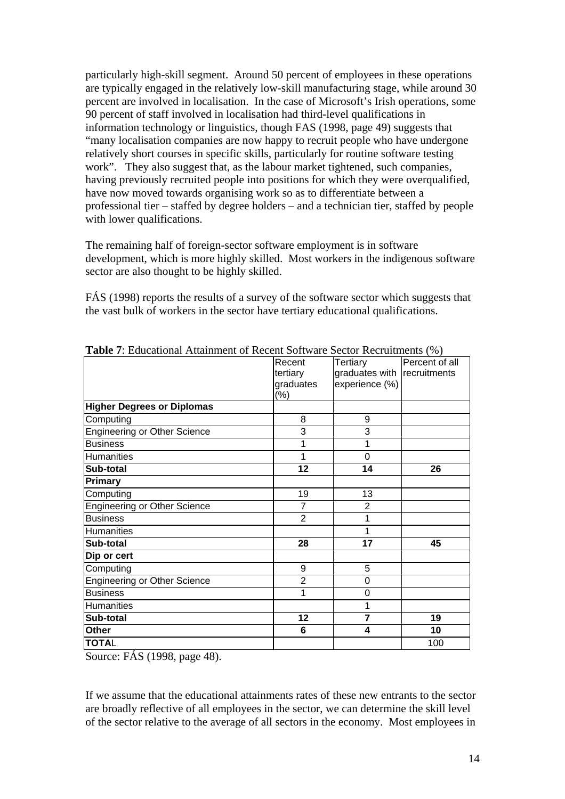particularly high-skill segment. Around 50 percent of employees in these operations are typically engaged in the relatively low-skill manufacturing stage, while around 30 percent are involved in localisation. In the case of Microsoft's Irish operations, some 90 percent of staff involved in localisation had third-level qualifications in information technology or linguistics, though FAS (1998, page 49) suggests that "many localisation companies are now happy to recruit people who have undergone relatively short courses in specific skills, particularly for routine software testing work". They also suggest that, as the labour market tightened, such companies, having previously recruited people into positions for which they were overqualified, have now moved towards organising work so as to differentiate between a professional tier – staffed by degree holders – and a technician tier, staffed by people with lower qualifications.

The remaining half of foreign-sector software employment is in software development, which is more highly skilled. Most workers in the indigenous software sector are also thought to be highly skilled.

FÁS (1998) reports the results of a survey of the software sector which suggests that the vast bulk of workers in the sector have tertiary educational qualifications.

| <b>Fabre</b> <i>F</i> . Equeational <i>Figurement</i> of Keecht boltware bector Keefulthelits (70) |                |                             |                |
|----------------------------------------------------------------------------------------------------|----------------|-----------------------------|----------------|
|                                                                                                    | Recent         | Tertiary                    | Percent of all |
|                                                                                                    | tertiary       | graduates with recruitments |                |
|                                                                                                    | graduates      | experience (%)              |                |
|                                                                                                    | $(\% )$        |                             |                |
| <b>Higher Degrees or Diplomas</b>                                                                  |                |                             |                |
| Computing                                                                                          | 8              | 9                           |                |
| <b>Engineering or Other Science</b>                                                                | 3              | 3                           |                |
| <b>Business</b>                                                                                    | 1              | 1                           |                |
| <b>Humanities</b>                                                                                  | 1              | $\overline{0}$              |                |
| Sub-total                                                                                          | 12             | 14                          | 26             |
| <b>Primary</b>                                                                                     |                |                             |                |
| Computing                                                                                          | 19             | 13                          |                |
| <b>Engineering or Other Science</b>                                                                | $\overline{7}$ | $\overline{2}$              |                |
| <b>Business</b>                                                                                    | $\overline{2}$ | 1                           |                |
| <b>Humanities</b>                                                                                  |                | 1                           |                |
| Sub-total                                                                                          | 28             | 17                          | 45             |
| Dip or cert                                                                                        |                |                             |                |
| Computing                                                                                          | 9              | 5                           |                |
| <b>Engineering or Other Science</b>                                                                | $\overline{2}$ | $\Omega$                    |                |
| <b>Business</b>                                                                                    | 1              | $\Omega$                    |                |
| <b>Humanities</b>                                                                                  |                | 1                           |                |
| Sub-total                                                                                          | 12             | $\overline{7}$              | 19             |
| Other                                                                                              | 6              | 4                           | 10             |
| <b>TOTAL</b>                                                                                       |                |                             | 100            |

**Table 7**: Educational Attainment of Recent Software Sector Recruitments (%)

Source: FÁS (1998, page 48).

If we assume that the educational attainments rates of these new entrants to the sector are broadly reflective of all employees in the sector, we can determine the skill level of the sector relative to the average of all sectors in the economy. Most employees in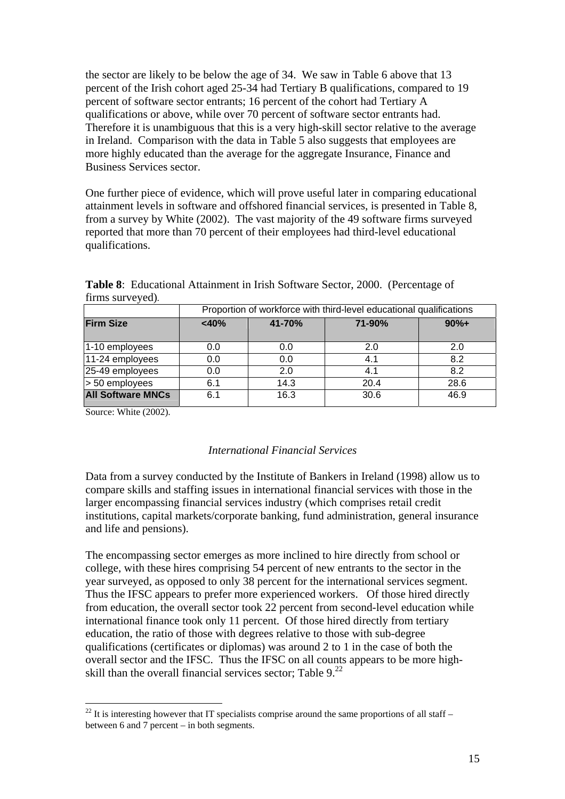the sector are likely to be below the age of 34. We saw in Table 6 above that 13 percent of the Irish cohort aged 25-34 had Tertiary B qualifications, compared to 19 percent of software sector entrants; 16 percent of the cohort had Tertiary A qualifications or above, while over 70 percent of software sector entrants had. Therefore it is unambiguous that this is a very high-skill sector relative to the average in Ireland. Comparison with the data in Table 5 also suggests that employees are more highly educated than the average for the aggregate Insurance, Finance and Business Services sector.

One further piece of evidence, which will prove useful later in comparing educational attainment levels in software and offshored financial services, is presented in Table 8, from a survey by White (2002). The vast majority of the 49 software firms surveyed reported that more than 70 percent of their employees had third-level educational qualifications.

|                          | Proportion of workforce with third-level educational qualifications |        |        |        |
|--------------------------|---------------------------------------------------------------------|--------|--------|--------|
| <b>Firm Size</b>         | $<$ 40%                                                             | 41-70% | 71-90% | $90%+$ |
| 1-10 employees           | 0.0                                                                 | 0.0    | 2.0    | 2.0    |
| 11-24 employees          | 0.0                                                                 | 0.0    | 4.1    | 8.2    |
| 25-49 employees          | 0.0                                                                 | 2.0    | 4.1    | 8.2    |
| > 50 employees           | 6.1                                                                 | 14.3   | 20.4   | 28.6   |
| <b>All Software MNCs</b> | 6.1                                                                 | 16.3   | 30.6   | 46.9   |

**Table 8**: Educational Attainment in Irish Software Sector, 2000. (Percentage of firms surveyed)*.* 

Source: White (2002).

## *International Financial Services*

Data from a survey conducted by the Institute of Bankers in Ireland (1998) allow us to compare skills and staffing issues in international financial services with those in the larger encompassing financial services industry (which comprises retail credit institutions, capital markets/corporate banking, fund administration, general insurance and life and pensions).

The encompassing sector emerges as more inclined to hire directly from school or college, with these hires comprising 54 percent of new entrants to the sector in the year surveyed, as opposed to only 38 percent for the international services segment. Thus the IFSC appears to prefer more experienced workers. Of those hired directly from education, the overall sector took 22 percent from second-level education while international finance took only 11 percent. Of those hired directly from tertiary education, the ratio of those with degrees relative to those with sub-degree qualifications (certificates or diplomas) was around 2 to 1 in the case of both the overall sector and the IFSC. Thus the IFSC on all counts appears to be more highskill than the overall financial services sector; Table  $9<sup>22</sup>$ 

 $\overline{a}$  $^{22}$  It is interesting however that IT specialists comprise around the same proportions of all staff – between 6 and 7 percent – in both segments.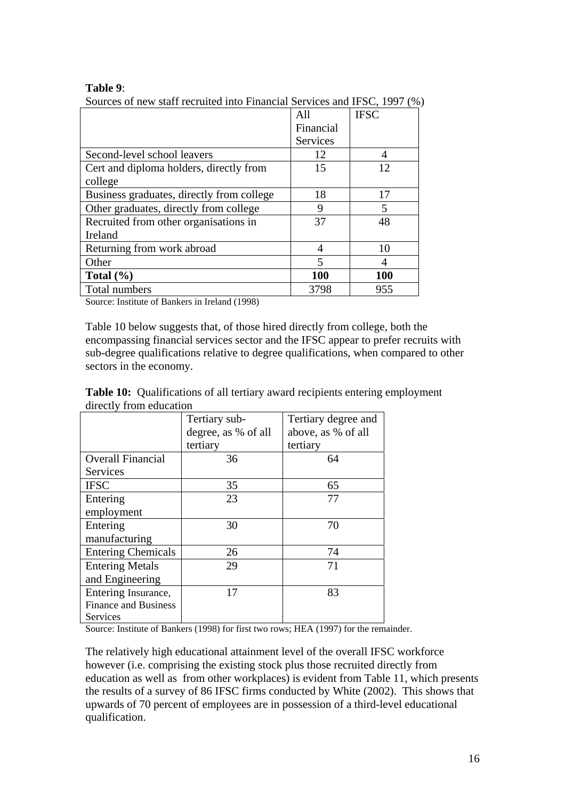#### **Table 9**:

Sources of new staff recruited into Financial Services and IFSC, 1997 (%)

|                                           | All                     | <b>IFSC</b>    |
|-------------------------------------------|-------------------------|----------------|
|                                           | Financial               |                |
|                                           | Services                |                |
| Second-level school leavers               | 12                      | 4              |
| Cert and diploma holders, directly from   | 15                      | 12             |
| college                                   |                         |                |
| Business graduates, directly from college | 18                      | 17             |
| Other graduates, directly from college    | 9                       | $\overline{5}$ |
| Recruited from other organisations in     | 37                      | 48             |
| Ireland                                   |                         |                |
| Returning from work abroad                | 4                       | 10             |
| Other                                     | $\overline{\mathbf{5}}$ |                |
| Total $(\% )$                             | <b>100</b>              | <b>100</b>     |
| Total numbers                             | 3798                    | 955            |

Source: Institute of Bankers in Ireland (1998)

Table 10 below suggests that, of those hired directly from college, both the encompassing financial services sector and the IFSC appear to prefer recruits with sub-degree qualifications relative to degree qualifications, when compared to other sectors in the economy.

|                         |               | <b>Table 10:</b> Qualifications of all tertiary award recipients entering employment |  |
|-------------------------|---------------|--------------------------------------------------------------------------------------|--|
| directly from education |               |                                                                                      |  |
|                         | Tertiary sub- | l Tertiary degree and                                                                |  |

|                             | Tertiary sub-       | Tertiary degree and |
|-----------------------------|---------------------|---------------------|
|                             | degree, as % of all | above, as % of all  |
|                             | tertiary            | tertiary            |
| <b>Overall Financial</b>    | 36                  | 64                  |
| Services                    |                     |                     |
| <b>IFSC</b>                 | 35                  | 65                  |
| Entering                    | 23                  | 77                  |
| employment                  |                     |                     |
| Entering                    | 30                  | 70                  |
| manufacturing               |                     |                     |
| <b>Entering Chemicals</b>   | 26                  | 74                  |
| <b>Entering Metals</b>      | 29                  | 71                  |
| and Engineering             |                     |                     |
| Entering Insurance,         | 17                  | 83                  |
| <b>Finance and Business</b> |                     |                     |
| Services                    |                     |                     |

Source: Institute of Bankers (1998) for first two rows; HEA (1997) for the remainder.

The relatively high educational attainment level of the overall IFSC workforce however (i.e. comprising the existing stock plus those recruited directly from education as well as from other workplaces) is evident from Table 11, which presents the results of a survey of 86 IFSC firms conducted by White (2002). This shows that upwards of 70 percent of employees are in possession of a third-level educational qualification.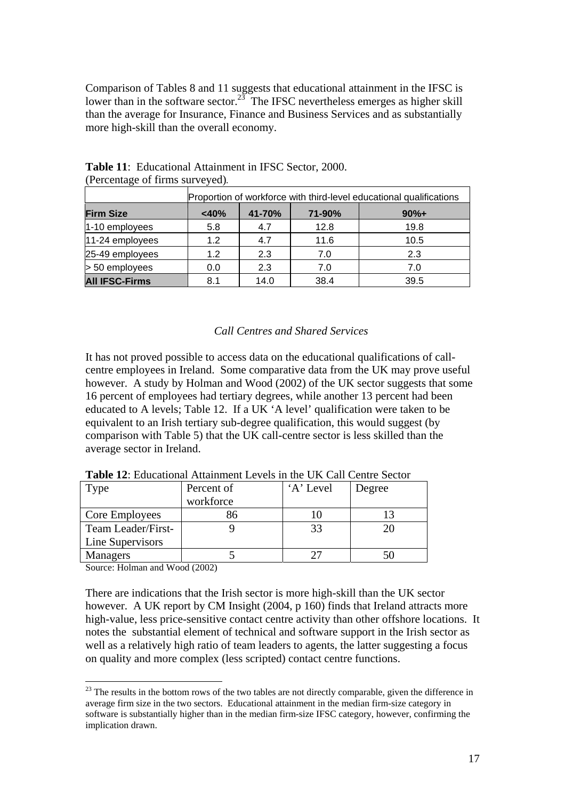Comparison of Tables 8 and 11 suggests that educational attainment in the IFSC is lower than in the software sector.<sup>23</sup> The IFSC nevertheless emerges as higher skill than the average for Insurance, Finance and Business Services and as substantially more high-skill than the overall economy.

| Proportion of workforce with third-level educational qualifications |         |        |        |        |
|---------------------------------------------------------------------|---------|--------|--------|--------|
| <b>Firm Size</b>                                                    | $<$ 40% | 41-70% | 71-90% | $90%+$ |
| 1-10 employees                                                      | 5.8     | 4.7    | 12.8   | 19.8   |
| 11-24 employees                                                     | 1.2     | 4.7    | 11.6   | 10.5   |
| 25-49 employees                                                     | 1.2     | 2.3    | 7.0    | 2.3    |
| > 50 employees                                                      | 0.0     | 2.3    | 7.0    | 7.0    |
| <b>All IFSC-Firms</b>                                               | 8.1     | 14.0   | 38.4   | 39.5   |

**Table 11**: Educational Attainment in IFSC Sector, 2000. (Percentage of firms surveyed)*.* 

## *Call Centres and Shared Services*

It has not proved possible to access data on the educational qualifications of callcentre employees in Ireland. Some comparative data from the UK may prove useful however. A study by Holman and Wood (2002) of the UK sector suggests that some 16 percent of employees had tertiary degrees, while another 13 percent had been educated to A levels; Table 12. If a UK 'A level' qualification were taken to be equivalent to an Irish tertiary sub-degree qualification, this would suggest (by comparison with Table 5) that the UK call-centre sector is less skilled than the average sector in Ireland.

| Type                    | Percent of<br>workforce | 'A' Level | Degree |
|-------------------------|-------------------------|-----------|--------|
| Core Employees          | 86                      |           |        |
| Team Leader/First-      |                         |           | 20     |
| <b>Line Supervisors</b> |                         |           |        |
| <b>Managers</b>         |                         |           |        |

**Table 12**: Educational Attainment Levels in the UK Call Centre Sector

Source: Holman and Wood (2002)

 $\overline{a}$ 

There are indications that the Irish sector is more high-skill than the UK sector however. A UK report by CM Insight (2004, p 160) finds that Ireland attracts more high-value, less price-sensitive contact centre activity than other offshore locations. It notes the substantial element of technical and software support in the Irish sector as well as a relatively high ratio of team leaders to agents, the latter suggesting a focus on quality and more complex (less scripted) contact centre functions.

 $2<sup>23</sup>$  The results in the bottom rows of the two tables are not directly comparable, given the difference in average firm size in the two sectors. Educational attainment in the median firm-size category in software is substantially higher than in the median firm-size IFSC category, however, confirming the implication drawn.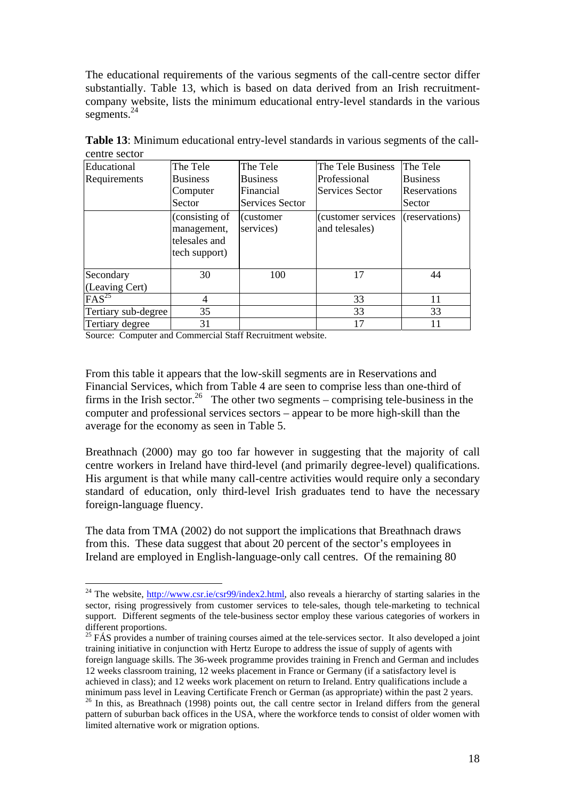The educational requirements of the various segments of the call-centre sector differ substantially. Table 13, which is based on data derived from an Irish recruitmentcompany website, lists the minimum educational entry-level standards in the various segments.<sup>24</sup>

| Educational         | The Tele                                                        | The Tele                | The Tele Business                    | The Tele        |
|---------------------|-----------------------------------------------------------------|-------------------------|--------------------------------------|-----------------|
| Requirements        | <b>Business</b>                                                 | <b>Business</b>         | Professional                         | <b>Business</b> |
|                     | Computer                                                        | Financial               | <b>Services Sector</b>               | Reservations    |
|                     | Sector                                                          | Services Sector         |                                      | Sector          |
|                     | (consisting of<br>management,<br>telesales and<br>tech support) | (customer)<br>services) | (customer services<br>and telesales) | (reservations)  |
| Secondary           | 30                                                              | 100                     | 17                                   | 44              |
| (Leaving Cert)      |                                                                 |                         |                                      |                 |
| FAS <sup>25</sup>   | 4                                                               |                         | 33                                   | 11              |
| Tertiary sub-degree | 35                                                              |                         | 33                                   | 33              |
| Tertiary degree     | 31                                                              |                         | 17                                   | 11              |

**Table 13**: Minimum educational entry-level standards in various segments of the callcentre sector

Source: Computer and Commercial Staff Recruitment website.

 $\overline{a}$ 

From this table it appears that the low-skill segments are in Reservations and Financial Services, which from Table 4 are seen to comprise less than one-third of firms in the Irish sector.<sup>26</sup> The other two segments – comprising tele-business in the computer and professional services sectors – appear to be more high-skill than the average for the economy as seen in Table 5.

Breathnach (2000) may go too far however in suggesting that the majority of call centre workers in Ireland have third-level (and primarily degree-level) qualifications. His argument is that while many call-centre activities would require only a secondary standard of education, only third-level Irish graduates tend to have the necessary foreign-language fluency.

The data from TMA (2002) do not support the implications that Breathnach draws from this. These data suggest that about 20 percent of the sector's employees in Ireland are employed in English-language-only call centres. Of the remaining 80

<sup>&</sup>lt;sup>24</sup> The website,  $\frac{http://www.csr.ie/csr99/index2.html}{http://www.csr.ie/csr99/index2.html}$ , also reveals a hierarchy of starting salaries in the sector, rising progressively from customer services to tele-sales, though tele-marketing to technical support. Different segments of the tele-business sector employ these various categories of workers in

 $25$  FÁS provides a number of training courses aimed at the tele-services sector. It also developed a joint training initiative in conjunction with Hertz Europe to address the issue of supply of agents with foreign language skills. The 36-week programme provides training in French and German and includes 12 weeks classroom training, 12 weeks placement in France or Germany (if a satisfactory level is achieved in class); and 12 weeks work placement on return to Ireland. Entry qualifications include a minimum pass level in Leaving Certificate French or German (as appropriate) within the past 2 years.<br><sup>26</sup> In this, as Breathnach (1998) points out, the call centre sector in Ireland differs from the general

pattern of suburban back offices in the USA, where the workforce tends to consist of older women with limited alternative work or migration options.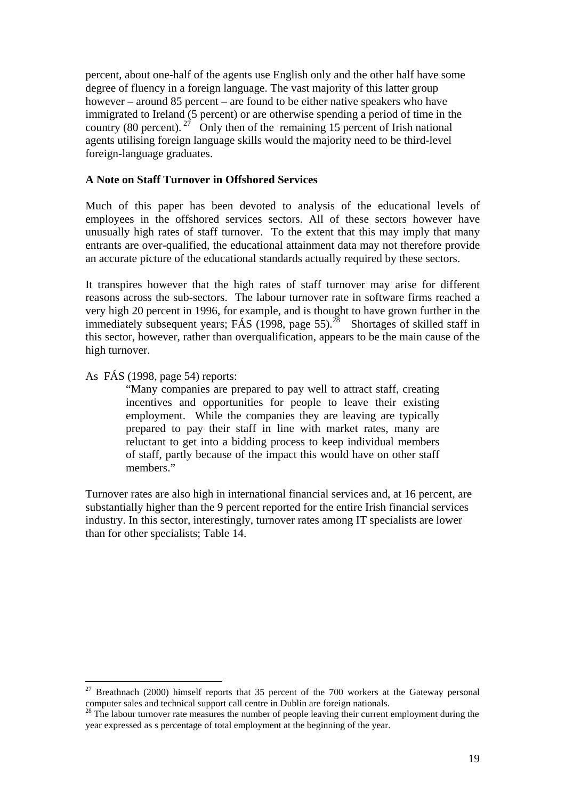percent, about one-half of the agents use English only and the other half have some degree of fluency in a foreign language. The vast majority of this latter group however – around 85 percent – are found to be either native speakers who have immigrated to Ireland (5 percent) or are otherwise spending a period of time in the country (80 percent). <sup>27</sup> Only then of the remaining 15 percent of Irish national agents utilising foreign language skills would the majority need to be third-level foreign-language graduates.

## **A Note on Staff Turnover in Offshored Services**

Much of this paper has been devoted to analysis of the educational levels of employees in the offshored services sectors. All of these sectors however have unusually high rates of staff turnover. To the extent that this may imply that many entrants are over-qualified, the educational attainment data may not therefore provide an accurate picture of the educational standards actually required by these sectors.

It transpires however that the high rates of staff turnover may arise for different reasons across the sub-sectors. The labour turnover rate in software firms reached a very high 20 percent in 1996, for example, and is thought to have grown further in the immediately subsequent years; FÁS (1998, page  $55$ ).<sup>28</sup> Shortages of skilled staff in this sector, however, rather than overqualification, appears to be the main cause of the high turnover.

#### As FÁS (1998, page 54) reports:

 $\overline{a}$ 

"Many companies are prepared to pay well to attract staff, creating incentives and opportunities for people to leave their existing employment. While the companies they are leaving are typically prepared to pay their staff in line with market rates, many are reluctant to get into a bidding process to keep individual members of staff, partly because of the impact this would have on other staff members."

Turnover rates are also high in international financial services and, at 16 percent, are substantially higher than the 9 percent reported for the entire Irish financial services industry. In this sector, interestingly, turnover rates among IT specialists are lower than for other specialists; Table 14.

<sup>&</sup>lt;sup>27</sup> Breathnach (2000) himself reports that 35 percent of the 700 workers at the Gateway personal computer sales and technical support call centre in Dublin are foreign nationals.

computer sales and technical support call  $\frac{1}{28}$ . The labour turnover rate measures the number of people leaving their current employment during the year expressed as s percentage of total employment at the beginning of the year.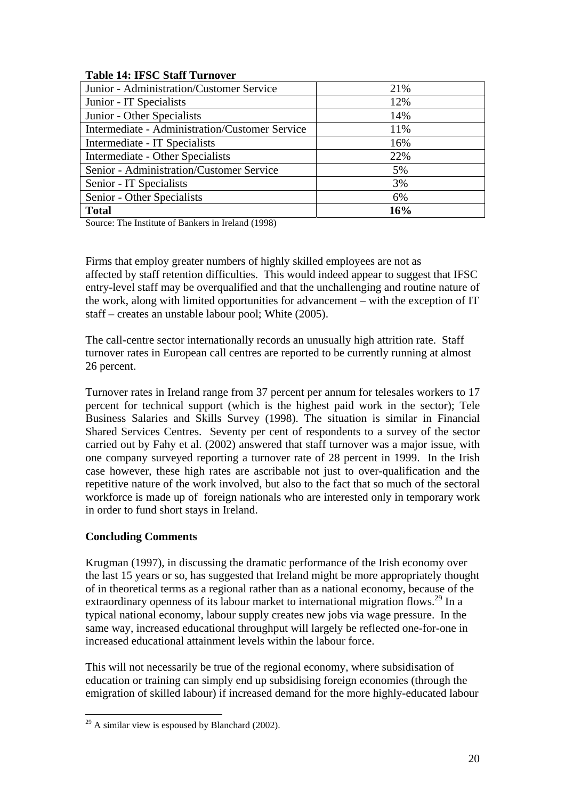| Table 17. It be blan Turnover                         |     |
|-------------------------------------------------------|-----|
| Junior - Administration/Customer Service              | 21% |
| Junior - IT Specialists                               | 12% |
| Junior - Other Specialists                            | 14% |
| <b>Intermediate - Administration/Customer Service</b> | 11% |
| Intermediate - IT Specialists                         | 16% |
| Intermediate - Other Specialists                      | 22% |
| Senior - Administration/Customer Service              | 5%  |
| Senior - IT Specialists                               | 3%  |
| Senior - Other Specialists                            | 6%  |
| <b>Total</b>                                          | 16% |

## **Table 14: IFSC Staff Turnover**

Source: The Institute of Bankers in Ireland (1998)

Firms that employ greater numbers of highly skilled employees are not as affected by staff retention difficulties. This would indeed appear to suggest that IFSC entry-level staff may be overqualified and that the unchallenging and routine nature of the work, along with limited opportunities for advancement – with the exception of IT staff – creates an unstable labour pool; White (2005).

The call-centre sector internationally records an unusually high attrition rate. Staff turnover rates in European call centres are reported to be currently running at almost 26 percent.

Turnover rates in Ireland range from 37 percent per annum for telesales workers to 17 percent for technical support (which is the highest paid work in the sector); Tele Business Salaries and Skills Survey (1998). The situation is similar in Financial Shared Services Centres. Seventy per cent of respondents to a survey of the sector carried out by Fahy et al. (2002) answered that staff turnover was a major issue, with one company surveyed reporting a turnover rate of 28 percent in 1999. In the Irish case however, these high rates are ascribable not just to over-qualification and the repetitive nature of the work involved, but also to the fact that so much of the sectoral workforce is made up of foreign nationals who are interested only in temporary work in order to fund short stays in Ireland.

## **Concluding Comments**

 $\overline{a}$ 

Krugman (1997), in discussing the dramatic performance of the Irish economy over the last 15 years or so, has suggested that Ireland might be more appropriately thought of in theoretical terms as a regional rather than as a national economy, because of the extraordinary openness of its labour market to international migration flows.<sup>29</sup> In a typical national economy, labour supply creates new jobs via wage pressure. In the same way, increased educational throughput will largely be reflected one-for-one in increased educational attainment levels within the labour force.

This will not necessarily be true of the regional economy, where subsidisation of education or training can simply end up subsidising foreign economies (through the emigration of skilled labour) if increased demand for the more highly-educated labour

 $^{29}$  A similar view is espoused by Blanchard (2002).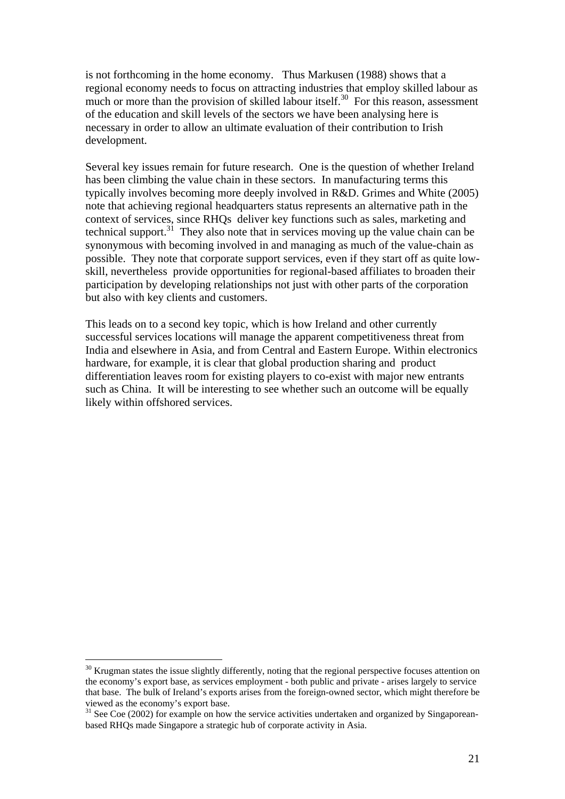is not forthcoming in the home economy. Thus Markusen (1988) shows that a regional economy needs to focus on attracting industries that employ skilled labour as much or more than the provision of skilled labour itself.<sup>30</sup> For this reason, assessment of the education and skill levels of the sectors we have been analysing here is necessary in order to allow an ultimate evaluation of their contribution to Irish development.

Several key issues remain for future research. One is the question of whether Ireland has been climbing the value chain in these sectors. In manufacturing terms this typically involves becoming more deeply involved in R&D. Grimes and White (2005) note that achieving regional headquarters status represents an alternative path in the context of services, since RHQs deliver key functions such as sales, marketing and technical support.<sup>31</sup> They also note that in services moving up the value chain can be synonymous with becoming involved in and managing as much of the value-chain as possible. They note that corporate support services, even if they start off as quite lowskill, nevertheless provide opportunities for regional-based affiliates to broaden their participation by developing relationships not just with other parts of the corporation but also with key clients and customers.

This leads on to a second key topic, which is how Ireland and other currently successful services locations will manage the apparent competitiveness threat from India and elsewhere in Asia, and from Central and Eastern Europe. Within electronics hardware, for example, it is clear that global production sharing and product differentiation leaves room for existing players to co-exist with major new entrants such as China. It will be interesting to see whether such an outcome will be equally likely within offshored services.

<sup>&</sup>lt;sup>30</sup> Krugman states the issue slightly differently, noting that the regional perspective focuses attention on the economy's export base, as services employment - both public and private - arises largely to service that base. The bulk of Ireland's exports arises from the foreign-owned sector, which might therefore be

 $^{31}$  See Coe (2002) for example on how the service activities undertaken and organized by Singaporeanbased RHQs made Singapore a strategic hub of corporate activity in Asia.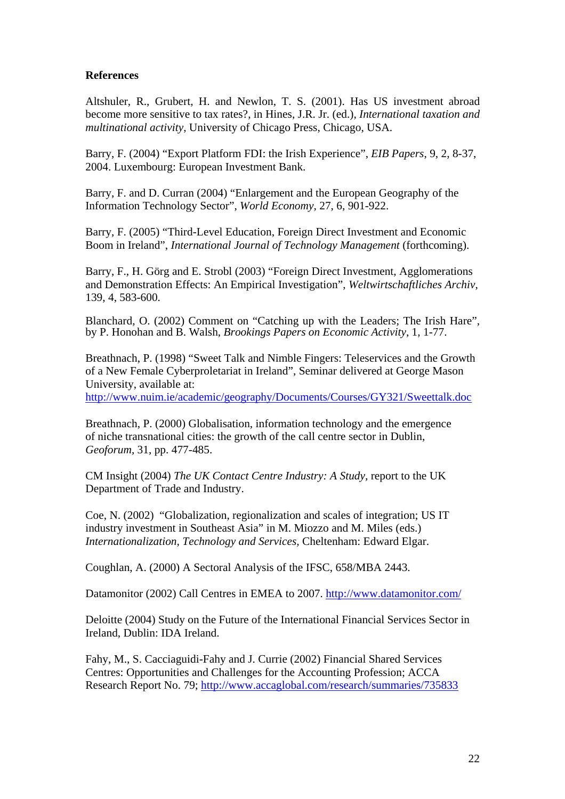## **References**

Altshuler, R., Grubert, H. and Newlon, T. S. (2001). Has US investment abroad become more sensitive to tax rates?, in Hines, J.R. Jr. (ed.), *International taxation and multinational activity*, University of Chicago Press, Chicago, USA.

Barry, F. (2004) "Export Platform FDI: the Irish Experience", *EIB Papers*, 9, 2, 8-37, 2004. Luxembourg: European Investment Bank.

Barry, F. and D. Curran (2004) "Enlargement and the European Geography of the Information Technology Sector", *World Economy*, 27, 6, 901-922.

Barry, F. (2005) "Third-Level Education, Foreign Direct Investment and Economic Boom in Ireland", *International Journal of Technology Management* (forthcoming).

Barry, F., H. Görg and E. Strobl (2003) "Foreign Direct Investment, Agglomerations and Demonstration Effects: An Empirical Investigation", *Weltwirtschaftliches Archiv*, 139, 4, 583-600.

Blanchard, O. (2002) Comment on "Catching up with the Leaders; The Irish Hare", by P. Honohan and B. Walsh, *Brookings Papers on Economic Activity*, 1, 1-77.

Breathnach, P. (1998) "Sweet Talk and Nimble Fingers: Teleservices and the Growth of a New Female Cyberproletariat in Ireland", Seminar delivered at George Mason University, available at:

http://www.nuim.ie/academic/geography/Documents/Courses/GY321/Sweettalk.doc

Breathnach, P. (2000) Globalisation, information technology and the emergence of niche transnational cities: the growth of the call centre sector in Dublin, *Geoforum*, 31, pp. 477-485.

CM Insight (2004) *The UK Contact Centre Industry: A Study*, report to the UK Department of Trade and Industry.

Coe, N. (2002) "Globalization, regionalization and scales of integration; US IT industry investment in Southeast Asia" in M. Miozzo and M. Miles (eds.) *Internationalization, Technology and Services,* Cheltenham: Edward Elgar.

Coughlan, A. (2000) A Sectoral Analysis of the IFSC, 658/MBA 2443.

Datamonitor (2002) Call Centres in EMEA to 2007. http://www.datamonitor.com/

Deloitte (2004) Study on the Future of the International Financial Services Sector in Ireland, Dublin: IDA Ireland.

Fahy, M., S. Cacciaguidi-Fahy and J. Currie (2002) Financial Shared Services Centres: Opportunities and Challenges for the Accounting Profession; ACCA Research Report No. 79; http://www.accaglobal.com/research/summaries/735833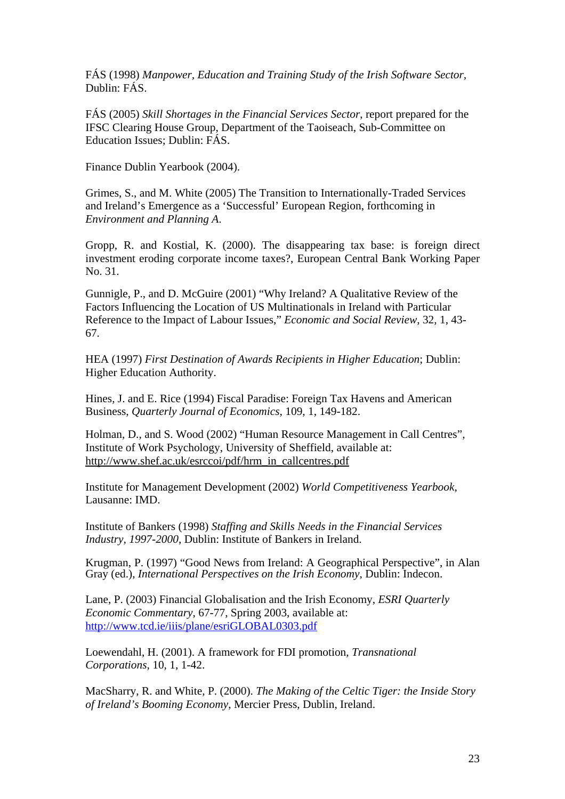FÁS (1998) *Manpower, Education and Training Study of the Irish Software Sector,*  Dublin: FÁS.

FÁS (2005) *Skill Shortages in the Financial Services Sector*, report prepared for the IFSC Clearing House Group, Department of the Taoiseach, Sub-Committee on Education Issues; Dublin: FÁS.

Finance Dublin Yearbook (2004).

Grimes, S., and M. White (2005) The Transition to Internationally-Traded Services and Ireland's Emergence as a 'Successful' European Region, forthcoming in *Environment and Planning A*.

Gropp, R. and Kostial, K. (2000). The disappearing tax base: is foreign direct investment eroding corporate income taxes?, European Central Bank Working Paper No. 31.

Gunnigle, P., and D. McGuire (2001) "Why Ireland? A Qualitative Review of the Factors Influencing the Location of US Multinationals in Ireland with Particular Reference to the Impact of Labour Issues," *Economic and Social Review*, 32, 1, 43- 67.

HEA (1997) *First Destination of Awards Recipients in Higher Education*; Dublin: Higher Education Authority.

Hines, J. and E. Rice (1994) Fiscal Paradise: Foreign Tax Havens and American Business, *Quarterly Journal of Economics*, 109, 1, 149-182.

Holman, D., and S. Wood (2002) "Human Resource Management in Call Centres", Institute of Work Psychology, University of Sheffield, available at: http://www.shef.ac.uk/esrccoi/pdf/hrm\_in\_callcentres.pdf

Institute for Management Development (2002) *World Competitiveness Yearbook*, Lausanne: IMD.

Institute of Bankers (1998) *Staffing and Skills Needs in the Financial Services Industry, 1997-2000*, Dublin: Institute of Bankers in Ireland.

Krugman, P. (1997) "Good News from Ireland: A Geographical Perspective", in Alan Gray (ed.), *International Perspectives on the Irish Economy*, Dublin: Indecon.

Lane, P. (2003) Financial Globalisation and the Irish Economy, *ESRI Quarterly Economic Commentary*, 67-77, Spring 2003, available at: http://www.tcd.ie/iiis/plane/esriGLOBAL0303.pdf

Loewendahl, H. (2001). A framework for FDI promotion, *Transnational Corporations*, 10, 1, 1-42.

MacSharry, R. and White, P. (2000). *The Making of the Celtic Tiger: the Inside Story of Ireland's Booming Economy*, Mercier Press, Dublin, Ireland.